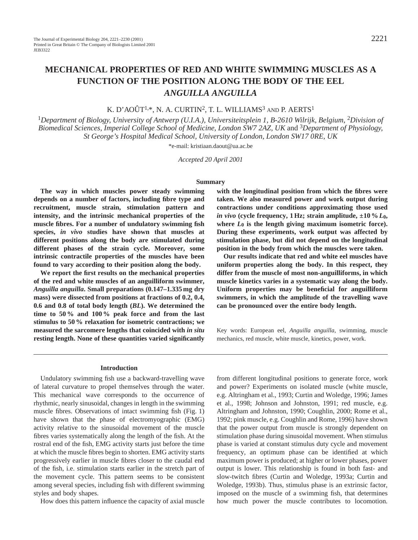# **MECHANICAL PROPERTIES OF RED AND WHITE SWIMMING MUSCLES AS A FUNCTION OF THE POSITION ALONG THE BODY OF THE EEL** *ANGUILLA ANGUILLA*

K. D'AOÛT<sup>1,\*</sup>, N. A. CURTIN<sup>2</sup>, T. L. WILLIAMS<sup>3</sup> AND P. AERTS<sup>1</sup>

<sup>1</sup>*Department of Biology, University of Antwerp (U.I.A.), Universiteitsplein 1, B-2610 Wilrijk, Belgium,* 2*Division of Biomedical Sciences, Imperial College School of Medicine, London SW7 2AZ, UK* and 3*Department of Physiology, St George's Hospital Medical School, University of London, London SW17 0RE, UK*

\*e-mail: kristiaan.daout@ua.ac.be

*Accepted 20 April 2001*

### **Summary**

**The way in which muscles power steady swimming depends on a number of factors, including fibre type and recruitment, muscle strain, stimulation pattern and intensity, and the intrinsic mechanical properties of the muscle fibres. For a number of undulatory swimming fish species,** *in vivo* **studies have shown that muscles at different positions along the body are stimulated during different phases of the strain cycle. Moreover, some intrinsic contractile properties of the muscles have been found to vary according to their position along the body.**

**We report the first results on the mechanical properties of the red and white muscles of an anguilliform swimmer,** *Anguilla anguilla***. Small preparations (0.147–1.335 mg dry mass) were dissected from positions at fractions of 0.2, 0.4, 0.6 and 0.8 of total body length (***BL***). We determined the time to 50 % and 100 % peak force and from the last stimulus to 50 % relaxation for isometric contractions; we measured the sarcomere lengths that coincided with** *in situ* **resting length. None of these quantities varied significantly**

**with the longitudinal position from which the fibres were taken. We also measured power and work output during contractions under conditions approximating those used** *in vivo* (cycle frequency, 1 Hz; strain amplitude,  $\pm 10\% L_0$ , where  $L_0$  is the length giving maximum isometric force). **During these experiments, work output was affected by stimulation phase, but did not depend on the longitudinal position in the body from which the muscles were taken.**

**Our results indicate that red and white eel muscles have uniform properties along the body. In this respect, they differ from the muscle of most non-anguilliforms, in which muscle kinetics varies in a systematic way along the body. Uniform properties may be beneficial for anguilliform swimmers, in which the amplitude of the travelling wave can be pronounced over the entire body length.**

Key words: European eel, *Anguilla anguilla*, swimming, muscle mechanics, red muscle, white muscle, kinetics, power, work.

### **Introduction**

Undulatory swimming fish use a backward-travelling wave of lateral curvature to propel themselves through the water. This mechanical wave corresponds to the occurrence of rhythmic, nearly sinusoidal, changes in length in the swimming muscle fibres. Observations of intact swimming fish (Fig. 1) have shown that the phase of electromyographic (EMG) activity relative to the sinusoidal movement of the muscle fibres varies systematically along the length of the fish. At the rostral end of the fish, EMG activity starts just before the time at which the muscle fibres begin to shorten. EMG activity starts progressively earlier in muscle fibres closer to the caudal end of the fish, i.e. stimulation starts earlier in the stretch part of the movement cycle. This pattern seems to be consistent among several species, including fish with different swimming styles and body shapes.

How does this pattern influence the capacity of axial muscle

from different longitudinal positions to generate force, work and power? Experiments on isolated muscle (white muscle, e.g. Altringham et al., 1993; Curtin and Woledge, 1996; James et al., 1998; Johnson and Johnston, 1991; red muscle, e.g. Altringham and Johnston, 1990; Coughlin, 2000; Rome et al., 1992; pink muscle, e.g. Coughlin and Rome, 1996) have shown that the power output from muscle is strongly dependent on stimulation phase during sinusoidal movement. When stimulus phase is varied at constant stimulus duty cycle and movement frequency, an optimum phase can be identified at which maximum power is produced; at higher or lower phases, power output is lower. This relationship is found in both fast- and slow-twitch fibres (Curtin and Woledge, 1993a; Curtin and Woledge, 1993b). Thus, stimulus phase is an extrinsic factor, imposed on the muscle of a swimming fish, that determines how much power the muscle contributes to locomotion.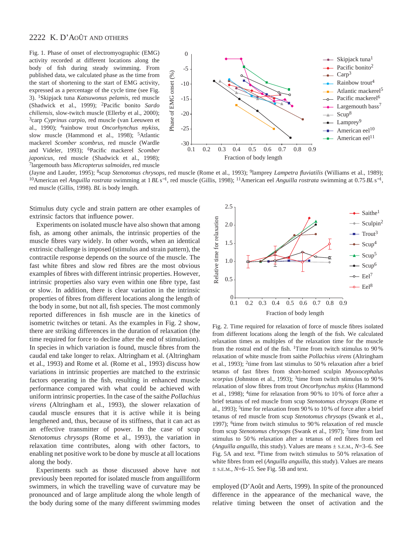# 2222 K. D'AOÛT AND OTHERS

Fig. 1. Phase of onset of electromyographic (EMG) activity recorded at different locations along the body of fish during steady swimming. From published data, we calculated phase as the time from the start of shortening to the start of EMG activity, expressed as a percentage of the cycle time (see Fig. 3). 1Skipjack tuna *Katsuwonus pelamis*, red muscle (Shadwick et al., 1999); 2Pacific bonito *Sardo chiliensis*, slow-twitch muscle (Ellerby et al., 2000); 3carp *Cyprinus carpio*, red muscle (van Leeuwen et al., 1990); 4rainbow trout *Oncorhynchus mykiss*, slow muscle (Hammond et al., 1998); 5Atlantic mackerel *Scomber scombrus*, red muscle (Wardle and Videler, 1993); 6Pacific mackerel *Scomber japonicus*, red muscle (Shadwick et al., 1998); 7largemouth bass *Micropterus salmoides*, red muscle



(Jayne and Lauder, 1995); 8scup *Stenotomus chrysops*, red muscle (Rome et al., 1993); 9lamprey *Lampetra fluviatilis* (Williams et al., 1989); 10American eel *Anguilla rostrata* swimming at 1*BL* s<sup>−</sup>1, red muscle (Gillis, 1998); 11American eel *Anguilla rostrata* swimming at 0.75*BL* s<sup>−</sup>1, red muscle (Gillis, 1998). *BL* is body length.

Stimulus duty cycle and strain pattern are other examples of extrinsic factors that influence power.

Experiments on isolated muscle have also shown that among fish, as among other animals, the intrinsic properties of the muscle fibres vary widely. In other words, when an identical extrinsic challenge is imposed (stimulus and strain pattern), the contractile response depends on the source of the muscle. The fast white fibres and slow red fibres are the most obvious examples of fibres with different intrinsic properties. However, intrinsic properties also vary even within one fibre type, fast or slow. In addition, there is clear variation in the intrinsic properties of fibres from different locations along the length of the body in some, but not all, fish species. The most commonly reported differences in fish muscle are in the kinetics of isometric twitches or tetani. As the examples in Fig. 2 show, there are striking differences in the duration of relaxation (the time required for force to decline after the end of stimulation). In species in which variation is found, muscle fibres from the caudal end take longer to relax. Altringham et al. (Altringham et al., 1993) and Rome et al. (Rome et al., 1993) discuss how variations in intrinsic properties are matched to the extrinsic factors operating in the fish, resulting in enhanced muscle performance compared with what could be achieved with uniform intrinsic properties. In the case of the saithe *Pollachius virens* (Altringham et al., 1993), the slower relaxation of caudal muscle ensures that it is active while it is being lengthened and, thus, because of its stiffness, that it can act as an effective transmitter of power. In the case of scup *Stenotomus chrysops* (Rome et al., 1993), the variation in relaxation time contributes, along with other factors, to enabling net positive work to be done by muscle at all locations along the body.

Experiments such as those discussed above have not previously been reported for isolated muscle from anguilliform swimmers, in which the travelling wave of curvature may be pronounced and of large amplitude along the whole length of the body during some of the many different swimming modes



Fig. 2. Time required for relaxation of force of muscle fibres isolated from different locations along the length of the fish. We calculated relaxation times as multiples of the relaxation time for the muscle from the rostral end of the fish. <sup>1</sup>Time from twitch stimulus to  $90\%$ relaxation of white muscle from saithe *Pollachius virens* (Altringham et al., 1993); 2time from last stimulus to 50 % relaxation after a brief tetanus of fast fibres from short-horned sculpin *Myoxocephalus scorpius* (Johnston et al., 1993); 3time from twitch stimulus to 90 % relaxation of slow fibres from trout *Oncorhynchus mykiss* (Hammond et al., 1998); 4time for relaxation from 90 % to 10 % of force after a brief tetanus of red muscle from scup *Stenotomus chrysops* (Rome et al., 1993); 5time for relaxation from 90 % to 10 % of force after a brief tetanus of red muscle from scup *Stenotomus chrysops* (Swank et al., 1997); 6time from twitch stimulus to 90 % relaxation of red muscle from scup *Stenotomus chrysops* (Swank et al., 1997); 7time from last stimulus to 50 % relaxation after a tetanus of red fibres from eel (*Anguilla anguilla*, this study). Values are means  $\pm$  s.e.m.,  $N=3-6$ . See Fig. 5A and text. 8Time from twitch stimulus to 50 % relaxation of white fibres from eel (*Anguilla anguilla*, this study). Values are means ± S.E.M., *N*=6–15. See Fig. 5B and text.

employed (D'Août and Aerts, 1999). In spite of the pronounced difference in the appearance of the mechanical wave, the relative timing between the onset of activation and the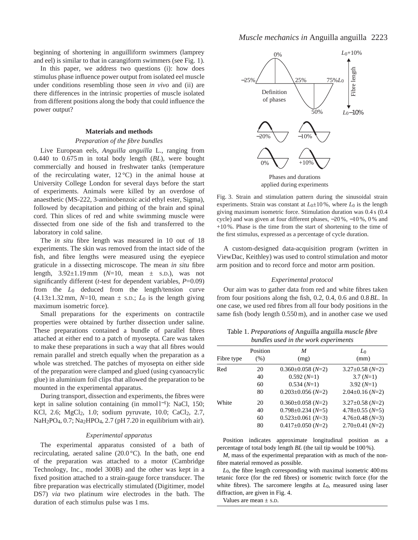beginning of shortening in anguilliform swimmers (lamprey and eel) is similar to that in carangiform swimmers (see Fig. 1).

In this paper, we address two questions (i): how does stimulus phase influence power output from isolated eel muscle under conditions resembling those seen *in vivo* and (ii) are there differences in the intrinsic properties of muscle isolated from different positions along the body that could influence the power output?

### **Materials and methods**

### *Preparation of the fibre bundles*

Live European eels, *Anguilla anguilla* L., ranging from 0.440 to 0.675 m in total body length (*BL*), were bought commercially and housed in freshwater tanks (temperature of the recirculating water,  $12^{\circ}$ C) in the animal house at University College London for several days before the start of experiments. Animals were killed by an overdose of anaesthetic (MS-222, 3-aminobenzoic acid ethyl ester, Sigma), followed by decapitation and pithing of the brain and spinal cord. Thin slices of red and white swimming muscle were dissected from one side of the fish and transferred to the laboratory in cold saline.

The *in situ* fibre length was measured in 10 out of 18 experiments. The skin was removed from the intact side of the fish, and fibre lengths were measured using the eyepiece graticule in a dissecting microscope. The mean *in situ* fibre length, 3.92±1.19 mm (*N*=10, mean ± S.D.), was not significantly different (*t*-test for dependent variables, *P*=0.09) from the *L*0 deduced from the length/tension curve  $(4.13\pm1.32 \text{ mm}, N=10, \text{ mean } \pm \text{s.D.}; L_0 \text{ is the length giving}$ maximum isometric force).

Small preparations for the experiments on contractile properties were obtained by further dissection under saline. These preparations contained a bundle of parallel fibres attached at either end to a patch of myosepta. Care was taken to make these preparations in such a way that all fibres would remain parallel and stretch equally when the preparation as a whole was stretched. The patches of myosepta on either side of the preparation were clamped and glued (using cyanoacrylic glue) in aluminium foil clips that allowed the preparation to be mounted in the experimental apparatus.

During transport, dissection and experiments, the fibres were kept in saline solution containing (in mmol l<sup>-1</sup>): NaCl, 150; KCl, 2.6; MgCl<sub>2</sub>, 1.0; sodium pyruvate, 10.0; CaCl<sub>2</sub>, 2.7,  $NaH<sub>2</sub>PO<sub>4</sub>, 0.7; Na<sub>2</sub>HPO<sub>4</sub>, 2.7 (pH 7.20 in equilibrium with air).$ 

### *Experimental apparatus*

The experimental apparatus consisted of a bath of recirculating, aerated saline (20.0 °C)*.* In the bath, one end of the preparation was attached to a motor (Cambridge Technology, Inc., model 300B) and the other was kept in a fixed position attached to a strain-gauge force transducer. The fibre preparation was electrically stimulated (Digitimer, model DS7) *via* two platinum wire electrodes in the bath. The duration of each stimulus pulse was 1 ms.



applied during experiments

Fig. 3. Strain and stimulation pattern during the sinusoidal strain experiments. Strain was constant at  $L_0 \pm 10\%$ , where  $L_0$  is the length giving maximum isometric force. Stimulation duration was 0.4 s (0.4 cycle) and was given at four different phases, −20 %, −10 %, 0 % and  $+10\%$ . Phase is the time from the start of shortening to the time of the first stimulus, expressed as a percentage of cycle duration.

A custom-designed data-acquisition program (written in ViewDac, Keithley) was used to control stimulation and motor arm position and to record force and motor arm position.

### *Experimental protocol*

Our aim was to gather data from red and white fibres taken from four positions along the fish, 0.2, 0.4, 0.6 and 0.8 *BL*. In one case, we used red fibres from all four body positions in the same fish (body length 0.550 m), and in another case we used

Table 1. *Preparations of* Anguilla anguilla *muscle fibre bundles used in the work experiments*

| Fibre type | Position<br>(% ) | M<br>(mg)               | L٥<br>(mm)            |
|------------|------------------|-------------------------|-----------------------|
| Red        | 20               | $0.360 \pm 0.058$ (N=2) | $3.27 \pm 0.58$ (N=2) |
|            | 40               | $0.592(N=1)$            | $3.7(N=1)$            |
|            | 60               | $0.534(N=1)$            | $3.92(N=1)$           |
|            | 80               | $0.203 \pm 0.056$ (N=2) | $2.04 \pm 0.16$ (N=2) |
| White      | 20               | $0.360 \pm 0.058$ (N=2) | $3.27 \pm 0.58$ (N=2) |
|            | 40               | $0.798 \pm 0.234$ (N=5) | $4.78 \pm 0.55$ (N=5) |
|            | 60               | $0.523 \pm 0.061$ (N=3) | $4.76 \pm 0.48$ (N=3) |
|            | 80               | $0.417 \pm 0.050$ (N=2) | $2.70\pm0.41(N=2)$    |
|            |                  |                         |                       |

Position indicates approximate longitudinal position as a percentage of total body length *BL* (the tail tip would be 100 %).

*M*, mass of the experimental preparation with as much of the nonfibre material removed as possible.

*L*0, the fibre length corresponding with maximal isometric 400 ms tetanic force (for the red fibres) or isometric twitch force (for the white fibres). The sarcomere lengths at  $L_0$ , measured using laser diffraction, are given in Fig. 4.

Values are mean  $\pm$  s.D.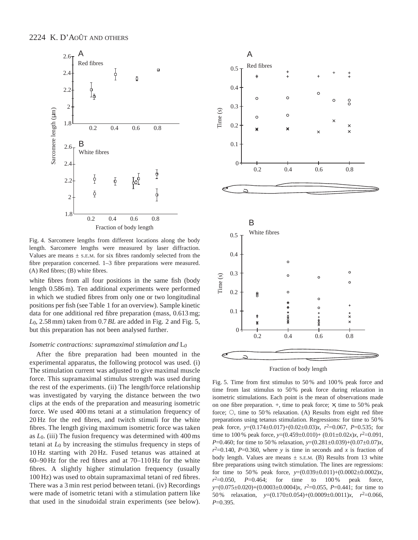

Fig. 4. Sarcomere lengths from different locations along the body length. Sarcomere lengths were measured by laser diffraction. Values are means  $\pm$  s.E.M. for six fibres randomly selected from the fibre preparation concerned. 1–3 fibre preparations were measured. (A) Red fibres; (B) white fibres.

white fibres from all four positions in the same fish (body length 0.586 m). Ten additional experiments were performed in which we studied fibres from only one or two longitudinal positions per fish (see Table 1 for an overview). Sample kinetic data for one additional red fibre preparation (mass, 0.613 mg; *L*0, 2.58 mm) taken from 0.7*BL* are added in Fig. 2 and Fig. 5, but this preparation has not been analysed further.

### *Isometric contractions: supramaximal stimulation and* L*0*

After the fibre preparation had been mounted in the experimental apparatus, the following protocol was used. (i) The stimulation current was adjusted to give maximal muscle force. This supramaximal stimulus strength was used during the rest of the experiments. (ii) The length/force relationship was investigated by varying the distance between the two clips at the ends of the preparation and measuring isometric force. We used 400 ms tetani at a stimulation frequency of 20 Hz for the red fibres, and twitch stimuli for the white fibres. The length giving maximum isometric force was taken as *L*0. (iii) The fusion frequency was determined with 400 ms tetani at *L*0 by increasing the stimulus frequency in steps of 10 Hz starting with 20 Hz. Fused tetanus was attained at 60–90 Hz for the red fibres and at 70–110 Hz for the white fibres. A slightly higher stimulation frequency (usually 100 Hz) was used to obtain supramaximal tetani of red fibres. There was a 3 min rest period between tetani. (iv) Recordings were made of isometric tetani with a stimulation pattern like that used in the sinudoidal strain experiments (see below).





Fig. 5. Time from first stimulus to 50 % and 100 % peak force and time from last stimulus to 50 % peak force during relaxation in isometric stimulations. Each point is the mean of observations made on one fibre preparation.  $+$ , time to peak force;  $\times$ , time to 50 % peak force;  $\circ$ , time to 50% relaxation. (A) Results from eight red fibre preparations using tetanus stimulation. Regressions: for time to 50 % peak force, *y*=(0.174±0.017)+(0.02±0.03)*x*, *r*2=0.067, *P*=0.535; for time to 100 % peak force,  $y=(0.459\pm0.010)+(0.01\pm0.02x)x$ ,  $r^2=0.091$ , *P*=0.460; for time to 50 % relaxation, *y*=(0.281±0.039)+(0.07±0.07)*x*,  $r^2=0.140$ ,  $P=0.360$ , where *y* is time in seconds and *x* is fraction of body length. Values are means  $\pm$  s.E.M. (B) Results from 13 white fibre preparations using twitch stimulation. The lines are regressions: for time to 50% peak force,  $y=(0.039\pm0.011)+(0.0002\pm0.0002)x$ ,  $r^2 = 0.050$ ,  $P = 0.464$ ; for time to  $100\%$  peak force, *y*=(0.075±0.020)+(0.0003±0.0004)*x*, *r*2=0.055, *P*=0.441; for time to 50 % relaxation, *y*=(0.170±0.054)+(0.0009±0.0011)*x*, *r*2=0.066, *P*=0.395.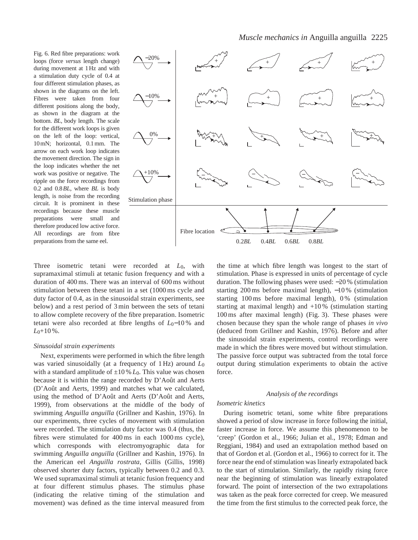Fig. 6. Red fibre preparations: work loops (force *versus* length change) during movement at 1Hz and with a stimulation duty cycle of 0.4 at four different stimulation phases, as shown in the diagrams on the left. Fibres were taken from four different positions along the body, as shown in the diagram at the bottom. *BL*, body length. The scale for the different work loops is given on the left of the loop: vertical, 10mN; horizontal, 0.1mm. The arrow on each work loop indicates the movement direction. The sign in the loop indicates whether the net work was positive or negative. The ripple on the force recordings from 0.2 and 0.8*BL*, where *BL* is body length, is noise from the recording circuit. It is prominent in these recordings because these muscle preparations were small and therefore produced low active force. All recordings are from fibre preparations from the same eel.



Three isometric tetani were recorded at *L*0, with supramaximal stimuli at tetanic fusion frequency and with a duration of 400 ms. There was an interval of 600 ms without stimulation between these tetani in a set (1000 ms cycle and duty factor of 0.4, as in the sinusoidal strain experiments, see below) and a rest period of 3 min between the sets of tetani to allow complete recovery of the fibre preparation. Isometric tetani were also recorded at fibre lengths of *L*0−10 % and *L*0+10 %.

## *Sinusoidal strain experiments*

Next, experiments were performed in which the fibre length was varied sinusoidally (at a frequency of 1 Hz) around *L*0 with a standard amplitude of  $\pm 10 \% L_0$ . This value was chosen because it is within the range recorded by D'Août and Aerts (D'Août and Aerts, 1999) and matches what we calculated, using the method of D'Août and Aerts (D'Août and Aerts, 1999), from observations at the middle of the body of swimming *Anguilla anguilla* (Grillner and Kashin, 1976). In our experiments, three cycles of movement with stimulation were recorded. The stimulation duty factor was 0.4 (thus, the fibres were stimulated for 400 ms in each 1000 ms cycle), which corresponds with electromyographic data for swimming *Anguilla anguilla* (Grillner and Kashin, 1976). In the American eel *Anguilla rostrata*, Gillis (Gillis, 1998) observed shorter duty factors, typically between 0.2 and 0.3. We used supramaximal stimuli at tetanic fusion frequency and at four different stimulus phases. The stimulus phase (indicating the relative timing of the stimulation and movement) was defined as the time interval measured from

the time at which fibre length was longest to the start of stimulation. Phase is expressed in units of percentage of cycle duration. The following phases were used: −20 % (stimulation starting 200 ms before maximal length), −10 % (stimulation starting 100 ms before maximal length), 0 % (stimulation starting at maximal length) and +10 % (stimulation starting 100 ms after maximal length) (Fig. 3). These phases were chosen because they span the whole range of phases *in vivo* (deduced from Grillner and Kashin, 1976). Before and after the sinusoidal strain experiments, control recordings were made in which the fibres were moved but without stimulation. The passive force output was subtracted from the total force output during stimulation experiments to obtain the active force.

# *Analysis of the recordings*

# *Isometric kinetics*

During isometric tetani, some white fibre preparations showed a period of slow increase in force following the initial, faster increase in force. We assume this phenomenon to be 'creep' (Gordon et al., 1966; Julian et al., 1978; Edman and Reggiani, 1984) and used an extrapolation method based on that of Gordon et al. (Gordon et al., 1966) to correct for it. The force near the end of stimulation was linearly extrapolated back to the start of stimulation. Similarly, the rapidly rising force near the beginning of stimulation was linearly extrapolated forward. The point of intersection of the two extrapolations was taken as the peak force corrected for creep. We measured the time from the first stimulus to the corrected peak force, the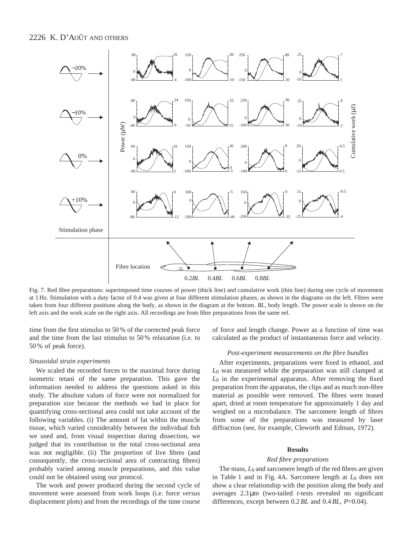# 2226 K. D'AOÛT AND OTHERS



Fig. 7. Red fibre preparations: superimposed time courses of power (thick line) and cumulative work (thin line) during one cycle of movement at 1 Hz. Stimulation with a duty factor of 0.4 was given at four different stimulation phases, as shown in the diagrams on the left. Fibres were taken from four different positions along the body, as shown in the diagram at the bottom. *BL*, body length. The power scale is shown on the left axis and the work scale on the right axis. All recordings are from fibre preparations from the same eel.

time from the first stimulus to 50 % of the corrected peak force and the time from the last stimulus to 50 % relaxation (i.e. to 50 % of peak force).

### *Sinusoidal strain experiments*

We scaled the recorded forces to the maximal force during isometric tetani of the same preparation. This gave the information needed to address the questions asked in this study. The absolute values of force were not normalized for preparation size because the methods we had in place for quantifying cross-sectional area could not take account of the following variables. (i) The amount of fat within the muscle tissue, which varied considerably between the individual fish we used and, from visual inspection during dissection, we judged that its contribution to the total cross-sectional area was not negligible. (ii) The proportion of live fibres (and consequently, the cross-sectional area of contracting fibres) probably varied among muscle preparations, and this value could not be obtained using our protocol.

The work and power produced during the second cycle of movement were assessed from work loops (i.e. force *versus* displacement plots) and from the recordings of the time course

of force and length change. Power as a function of time was calculated as the product of instantaneous force and velocity.

### *Post-experiment measurements on the fibre bundles*

After experiments, preparations were fixed in ethanol, and *L*0 was measured while the preparation was still clamped at *L*0 in the experimental apparatus. After removing the fixed preparation from the apparatus, the clips and as much non-fibre material as possible were removed. The fibres were teased apart, dried at room temperature for approximately 1 day and weighed on a microbalance. The sarcomere length of fibres from some of the preparations was measured by laser diffraction (see, for example, Cleworth and Edman, 1972).

#### **Results**

#### *Red fibre preparations*

The mass, *L*0 and sarcomere length of the red fibres are given in Table 1 and in Fig. 4A. Sarcomere length at *L*0 does not show a clear relationship with the position along the body and averages 2.3 µm (two-tailed *t*-tests revealed no significant differences, except between 0.2*BL* and 0.4*BL*, *P*=0.04).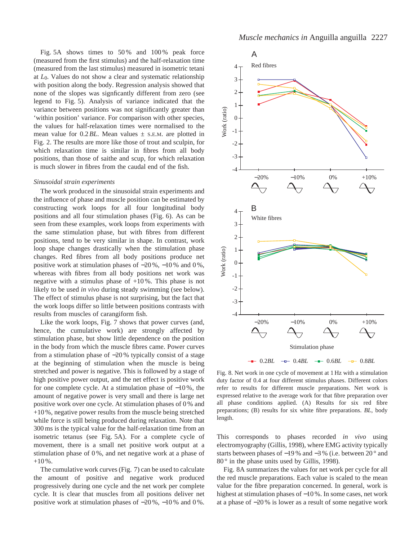Fig. 5A shows times to 50 % and 100 % peak force (measured from the first stimulus) and the half-relaxation time (measured from the last stimulus) measured in isometric tetani at *L*0. Values do not show a clear and systematic relationship with position along the body. Regression analysis showed that none of the slopes was signficantly different from zero (see legend to Fig. 5). Analysis of variance indicated that the variance between positions was not significantly greater than 'within position' variance. For comparison with other species, the values for half-relaxation times were normalised to the mean value for  $0.2$  *BL*. Mean values  $\pm$  s.e.m. are plotted in Fig. 2. The results are more like those of trout and sculpin, for which relaxation time is similar in fibres from all body positions, than those of saithe and scup, for which relaxation is much slower in fibres from the caudal end of the fish.

## *Sinusoidal strain experiments*

The work produced in the sinusoidal strain experiments and the influence of phase and muscle position can be estimated by constructing work loops for all four longitudinal body positions and all four stimulation phases (Fig. 6). As can be seen from these examples, work loops from experiments with the same stimulation phase, but with fibres from different positions, tend to be very similar in shape. In contrast, work loop shape changes drastically when the stimulation phase changes. Red fibres from all body positions produce net positive work at stimulation phases of −20 %, −10 % and 0 %, whereas with fibres from all body positions net work was negative with a stimulus phase of  $+10\%$ . This phase is not likely to be used *in vivo* during steady swimming (see below). The effect of stimulus phase is not surprising, but the fact that the work loops differ so little between positions contrasts with results from muscles of carangiform fish.

Like the work loops, Fig. 7 shows that power curves (and, hence, the cumulative work) are strongly affected by stimulation phase, but show little dependence on the position in the body from which the muscle fibres came. Power curves from a stimulation phase of −20 % typically consist of a stage at the beginning of stimulation when the muscle is being stretched and power is negative. This is followed by a stage of high positive power output, and the net effect is positive work for one complete cycle. At a stimulation phase of −10 %, the amount of negative power is very small and there is large net positive work over one cycle. At stimulation phases of 0 % and +10 %, negative power results from the muscle being stretched while force is still being produced during relaxation. Note that 300 ms is the typical value for the half-relaxation time from an isometric tetanus (see Fig. 5A). For a complete cycle of movement, there is a small net positive work output at a stimulation phase of 0 %, and net negative work at a phase of  $+10\%$ .

The cumulative work curves (Fig. 7) can be used to calculate the amount of positive and negative work produced progressively during one cycle and the net work per complete cycle. It is clear that muscles from all positions deliver net positive work at stimulation phases of −20 %, −10 % and 0 %.



Fig. 8. Net work in one cycle of movement at 1 Hz with a stimulation duty factor of 0.4 at four different stimulus phases. Different colors refer to results for different muscle preparations. Net work is expressed relative to the average work for that fibre preparation over all phase conditions applied. (A) Results for six red fibre preparations; (B) results for six white fibre preparations. *BL*, body length.

This corresponds to phases recorded *in vivo* using electromyography (Gillis, 1998), where EMG activity typically starts between phases of −19 % and −3 % (i.e. between 20 ° and 80<sup>°</sup> in the phase units used by Gillis, 1998).

Fig. 8A summarizes the values for net work per cycle for all the red muscle preparations. Each value is scaled to the mean value for the fibre preparation concerned. In general, work is highest at stimulation phases of −10 %. In some cases, net work at a phase of −20 % is lower as a result of some negative work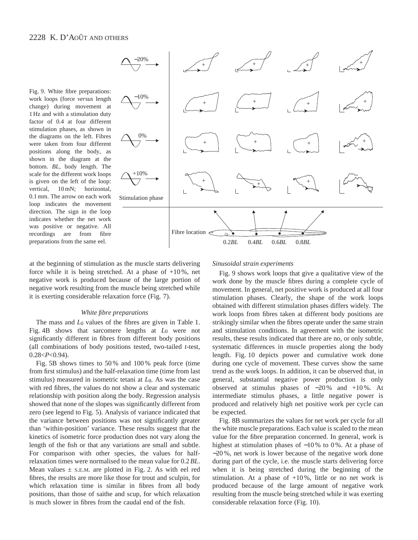Fig. 9. White fibre preparations: work loops (force *versus* length change) during movement at 1 Hz and with a stimulation duty factor of 0.4 at four different stimulation phases, as shown in the diagrams on the left. Fibres were taken from four different positions along the body, as shown in the diagram at the bottom. *BL*, body length. The scale for the different work loops is given on the left of the loop: vertical, 10 mN; horizontal, 0.1 mm. The arrow on each work loop indicates the movement direction. The sign in the loop indicates whether the net work was positive or negative. All recordings are from fibre preparations from the same eel.



at the beginning of stimulation as the muscle starts delivering force while it is being stretched. At a phase of  $+10\%$ , net negative work is produced because of the large portion of negative work resulting from the muscle being stretched while it is exerting considerable relaxation force (Fig. 7).

### *White fibre preparations*

The mass and  $L_0$  values of the fibres are given in Table 1. Fig. 4B shows that sarcomere lengths at *L*0 were not significantly different in fibres from different body positions (all combinations of body positions tested, two-tailed *t*-test, 0.28<*P*<0.94).

Fig. 5B shows times to 50 % and 100 % peak force (time from first stimulus) and the half-relaxation time (time from last stimulus) measured in isometric tetani at *L*0. As was the case with red fibres, the values do not show a clear and systematic relationship with position along the body. Regression analysis showed that none of the slopes was significantly different from zero (see legend to Fig. 5). Analysis of variance indicated that the variance between positions was not significantly greater than 'within-position' variance. These results suggest that the kinetics of isometric force production does not vary along the length of the fish or that any variations are small and subtle. For comparison with other species, the values for halfrelaxation times were normalised to the mean value for 0.2*BL*. Mean values  $\pm$  s.e.m. are plotted in Fig. 2. As with eel red fibres, the results are more like those for trout and sculpin, for which relaxation time is similar in fibres from all body positions, than those of saithe and scup, for which relaxation is much slower in fibres from the caudal end of the fish.

### *Sinusoidal strain experiments*

Fig. 9 shows work loops that give a qualitative view of the work done by the muscle fibres during a complete cycle of movement. In general, net positive work is produced at all four stimulation phases. Clearly, the shape of the work loops obtained with different stimulation phases differs widely. The work loops from fibres taken at different body positions are strikingly similar when the fibres operate under the same strain and stimulation conditions. In agreement with the isometric results, these results indicated that there are no, or only subtle, systematic differences in muscle properties along the body length. Fig. 10 depicts power and cumulative work done during one cycle of movement. These curves show the same trend as the work loops. In addition, it can be observed that, in general, substantial negative power production is only observed at stimulus phases of −20 % and +10 %. At intermediate stimulus phases, a little negative power is produced and relatively high net positive work per cycle can be expected.

Fig. 8B summarizes the values for net work per cycle for all the white muscle preparations. Each value is scaled to the mean value for the fibre preparation concerned. In general, work is highest at stimulation phases of −10 % to 0 %. At a phase of −20 %, net work is lower because of the negative work done during part of the cycle, i.e. the muscle starts delivering force when it is being stretched during the beginning of the stimulation. At a phase of  $+10\%$ , little or no net work is produced because of the large amount of negative work resulting from the muscle being stretched while it was exerting considerable relaxation force (Fig. 10).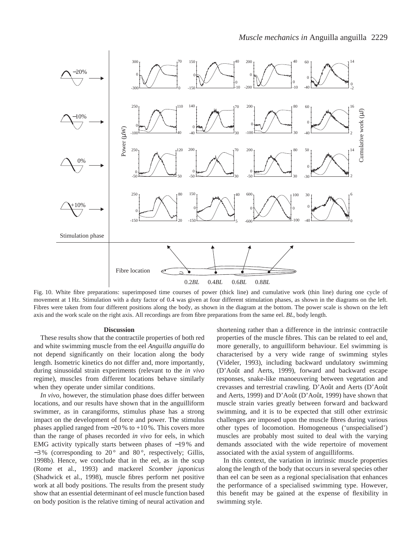

Fig. 10. White fibre preparations: superimposed time courses of power (thick line) and cumulative work (thin line) during one cycle of movement at 1 Hz. Stimulation with a duty factor of 0.4 was given at four different stimulation phases, as shown in the diagrams on the left. Fibres were taken from four different positions along the body, as shown in the diagram at the bottom. The power scale is shown on the left axis and the work scale on the right axis. All recordings are from fibre preparations from the same eel. *BL*, body length.

### **Discussion**

These results show that the contractile properties of both red and white swimming muscle from the eel *Anguilla anguilla* do not depend significantly on their location along the body length. Isometric kinetics do not differ and, more importantly, during sinusoidal strain experiments (relevant to the *in vivo* regime), muscles from different locations behave similarly when they operate under similar conditions.

*In vivo*, however, the stimulation phase does differ between locations, and our results have shown that in the anguilliform swimmer, as in carangiforms, stimulus phase has a strong impact on the development of force and power. The stimulus phases applied ranged from −20 % to +10 %. This covers more than the range of phases recorded *in vivo* for eels, in which EMG activity typically starts between phases of −19 % and  $-3\%$  (corresponding to 20 $^{\circ}$  and 80 $^{\circ}$ , respectively; Gillis, 1998b). Hence, we conclude that in the eel, as in the scup (Rome et al., 1993) and mackerel *Scomber japonicus* (Shadwick et al., 1998), muscle fibres perform net positive work at all body positions. The results from the present study show that an essential determinant of eel muscle function based on body position is the relative timing of neural activation and

shortening rather than a difference in the intrinsic contractile properties of the muscle fibres. This can be related to eel and, more generally, to anguilliform behaviour. Eel swimming is characterised by a very wide range of swimming styles (Videler, 1993), including backward undulatory swimming (D'Août and Aerts, 1999), forward and backward escape responses, snake-like manoeuvering between vegetation and crevasses and terrestrial crawling. D'Août and Aerts (D'Août and Aerts, 1999) and D'Août (D'Août, 1999) have shown that muscle strain varies greatly between forward and backward swimming, and it is to be expected that still other extrinsic challenges are imposed upon the muscle fibres during various other types of locomotion. Homogeneous ('unspecialised') muscles are probably most suited to deal with the varying demands associated with the wide repertoire of movement associated with the axial system of anguilliforms.

In this context, the variation in intrinsic muscle properties along the length of the body that occurs in several species other than eel can be seen as a regional specialisation that enhances the performance of a specialised swimming type. However, this benefit may be gained at the expense of flexibility in swimming style.